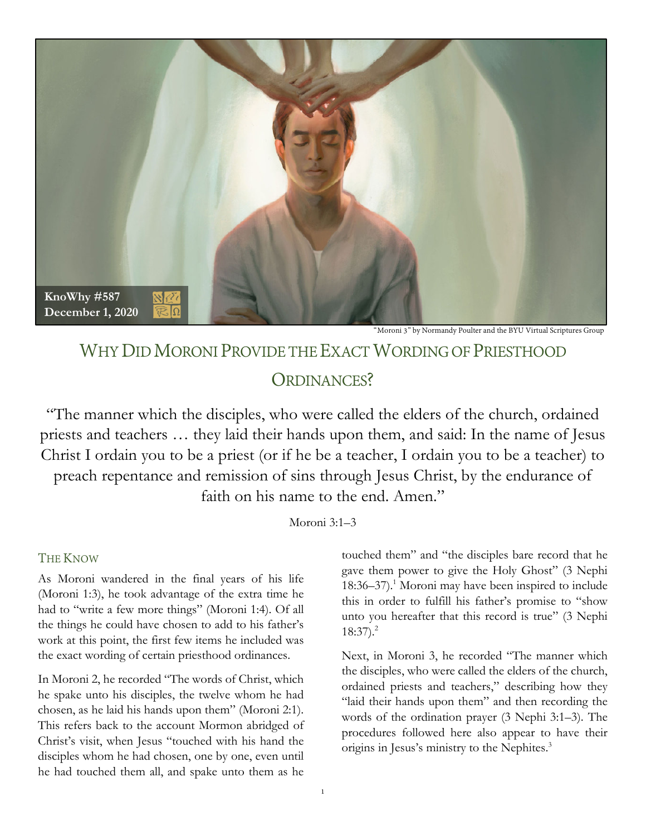

Moroni 3" by Normandy Poulter and the BYU Virtual Scriptures Group

# WHY DID MORONI PROVIDE THE EXACT WORDING OF PRIESTHOOD ORDINANCES?

"The manner which the disciples, who were called the elders of the church, ordained priests and teachers … they laid their hands upon them, and said: In the name of Jesus Christ I ordain you to be a priest (or if he be a teacher, I ordain you to be a teacher) to preach repentance and remission of sins through Jesus Christ, by the endurance of faith on his name to the end. Amen."

Moroni 3:1–3

## THE KNOW

As Moroni wandered in the final years of his life (Moroni 1:3), he took advantage of the extra time he had to "write a few more things" (Moroni 1:4). Of all the things he could have chosen to add to his father's work at this point, the first few items he included was the exact wording of certain priesthood ordinances.

In Moroni 2, he recorded "The words of Christ, which he spake unto his disciples, the twelve whom he had chosen, as he laid his hands upon them" (Moroni 2:1). This refers back to the account Mormon abridged of Christ's visit, when Jesus "touched with his hand the disciples whom he had chosen, one by one, even until he had touched them all, and spake unto them as he

touched them" and "the disciples bare record that he gave them power to give the Holy Ghost" (3 Nephi 18:36–37).<sup>1</sup> Moroni may have been inspired to include this in order to fulfill his father's promise to "show unto you hereafter that this record is true" (3 Nephi  $18:37$ ).<sup>2</sup>

Next, in Moroni 3, he recorded "The manner which the disciples, who were called the elders of the church, ordained priests and teachers," describing how they "laid their hands upon them" and then recording the words of the ordination prayer (3 Nephi 3:1–3). The procedures followed here also appear to have their origins in Jesus's ministry to the Nephites.3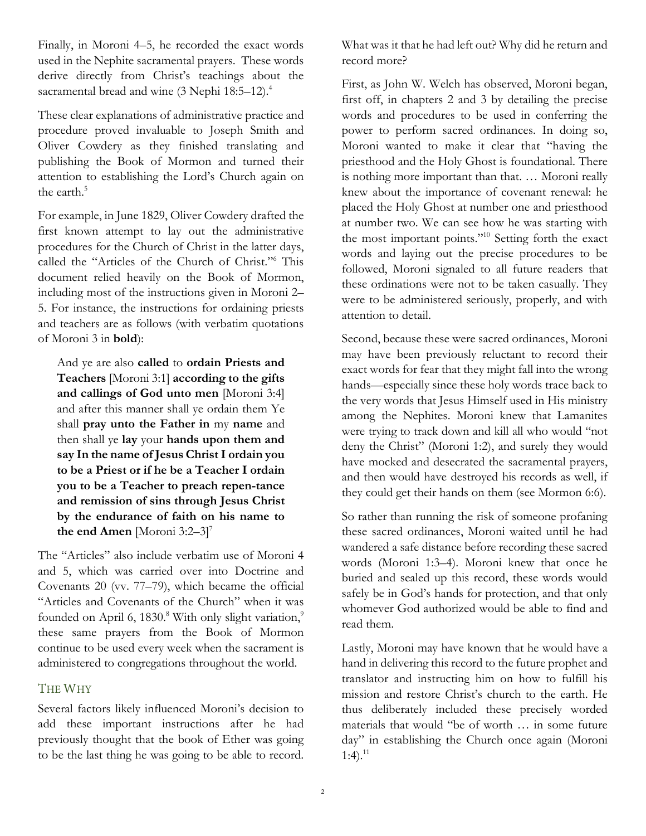Finally, in Moroni 4–5, he recorded the exact words used in the Nephite sacramental prayers. These words derive directly from Christ's teachings about the sacramental bread and wine (3 Nephi 18:5–12).<sup>4</sup>

These clear explanations of administrative practice and procedure proved invaluable to Joseph Smith and Oliver Cowdery as they finished translating and publishing the Book of Mormon and turned their attention to establishing the Lord's Church again on the earth.<sup>5</sup>

For example, in June 1829, Oliver Cowdery drafted the first known attempt to lay out the administrative procedures for the Church of Christ in the latter days, called the "Articles of the Church of Christ."6 This document relied heavily on the Book of Mormon, including most of the instructions given in Moroni 2– 5. For instance, the instructions for ordaining priests and teachers are as follows (with verbatim quotations of Moroni 3 in **bold**):

And ye are also **called** to **ordain Priests and Teachers** [Moroni 3:1] **according to the gifts and callings of God unto men** [Moroni 3:4] and after this manner shall ye ordain them Ye shall **pray unto the Father in** my **name** and then shall ye **lay** your **hands upon them and say In the name of Jesus Christ I ordain you to be a Priest or if he be a Teacher I ordain you to be a Teacher to preach repentance and remission of sins through Jesus Christ by the endurance of faith on his name to the end Amen** [Moroni 3:2–3] 7

The "Articles" also include verbatim use of Moroni 4 and 5, which was carried over into Doctrine and Covenants 20 (vv. 77–79), which became the official "Articles and Covenants of the Church" when it was founded on April 6,  $1830$ .<sup>8</sup> With only slight variation,<sup>9</sup> these same prayers from the Book of Mormon continue to be used every week when the sacrament is administered to congregations throughout the world.

# THE WHY

Several factors likely influenced Moroni's decision to add these important instructions after he had previously thought that the book of Ether was going to be the last thing he was going to be able to record.

What was it that he had left out? Why did he return and record more?

First, as John W. Welch has observed, Moroni began, first off, in chapters 2 and 3 by detailing the precise words and procedures to be used in conferring the power to perform sacred ordinances. In doing so, Moroni wanted to make it clear that "having the priesthood and the Holy Ghost is foundational. There is nothing more important than that. … Moroni really knew about the importance of covenant renewal: he placed the Holy Ghost at number one and priesthood at number two. We can see how he was starting with the most important points."10 Setting forth the exact words and laying out the precise procedures to be followed, Moroni signaled to all future readers that these ordinations were not to be taken casually. They were to be administered seriously, properly, and with attention to detail.

Second, because these were sacred ordinances, Moroni may have been previously reluctant to record their exact words for fear that they might fall into the wrong hands—especially since these holy words trace back to the very words that Jesus Himself used in His ministry among the Nephites. Moroni knew that Lamanites were trying to track down and kill all who would "not deny the Christ" (Moroni 1:2), and surely they would have mocked and desecrated the sacramental prayers, and then would have destroyed his records as well, if they could get their hands on them (see Mormon 6:6).

So rather than running the risk of someone profaning these sacred ordinances, Moroni waited until he had wandered a safe distance before recording these sacred words (Moroni 1:3–4). Moroni knew that once he buried and sealed up this record, these words would safely be in God's hands for protection, and that only whomever God authorized would be able to find and read them.

Lastly, Moroni may have known that he would have a hand in delivering this record to the future prophet and translator and instructing him on how to fulfill his mission and restore Christ's church to the earth. He thus deliberately included these precisely worded materials that would "be of worth … in some future day" in establishing the Church once again (Moroni  $1:4$ ).<sup>11</sup>